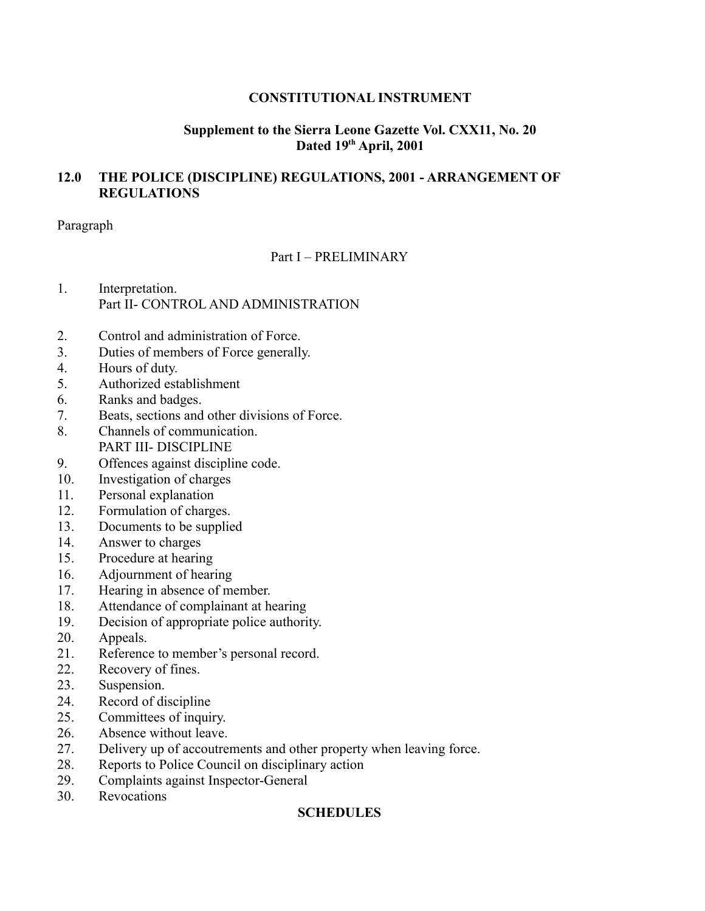### **CONSTITUTIONAL INSTRUMENT**

### **Supplement to the Sierra Leone Gazette Vol. CXX11, No. 20 Dated 19th April, 2001**

### **12.0 THE POLICE (DISCIPLINE) REGULATIONS, 2001 - ARRANGEMENT OF REGULATIONS**

Paragraph

# Part I – PRELIMINARY

- 1. Interpretation. Part II- CONTROL AND ADMINISTRATION
- 2. Control and administration of Force.
- 3. Duties of members of Force generally.
- 4. Hours of duty.
- 5. Authorized establishment
- 6. Ranks and badges.
- 7. Beats, sections and other divisions of Force.
- 8. Channels of communication. PART III- DISCIPLINE
- 9. Offences against discipline code.
- 10. Investigation of charges
- 11. Personal explanation
- 12. Formulation of charges.
- 13. Documents to be supplied
- 14. Answer to charges
- 15. Procedure at hearing
- 16. Adjournment of hearing
- 17. Hearing in absence of member.
- 18. Attendance of complainant at hearing
- 19. Decision of appropriate police authority.
- 20. Appeals.
- 21. Reference to member's personal record.
- 22. Recovery of fines.
- 23. Suspension.
- 24. Record of discipline
- 25. Committees of inquiry.
- 26. Absence without leave.
- 27. Delivery up of accoutrements and other property when leaving force.
- 28. Reports to Police Council on disciplinary action
- 29. Complaints against Inspector-General
- 30. Revocations

#### **SCHEDULES**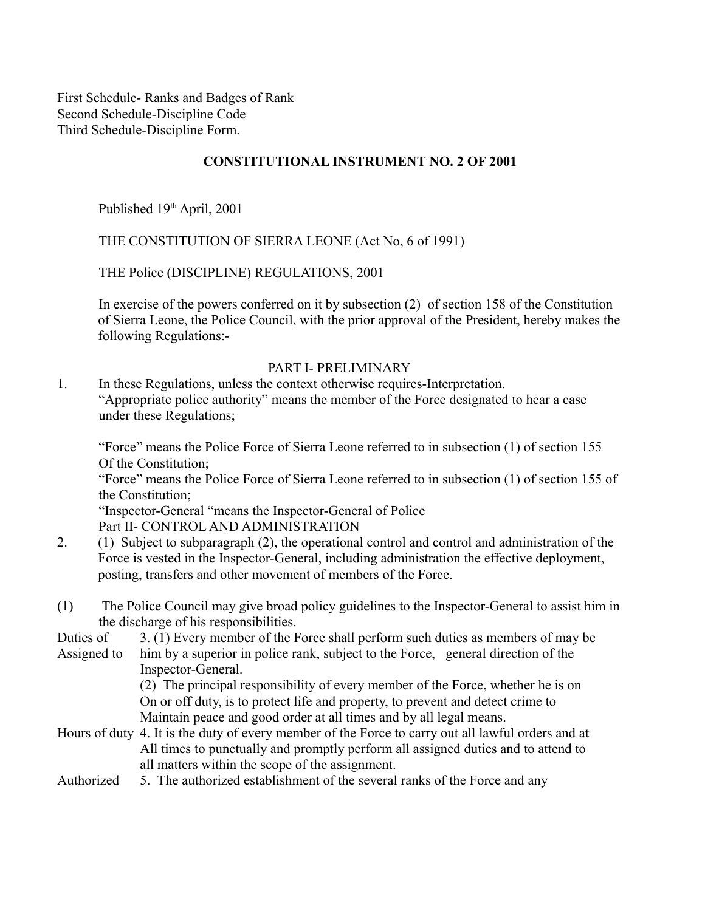First Schedule- Ranks and Badges of Rank Second Schedule-Discipline Code Third Schedule-Discipline Form.

#### **CONSTITUTIONAL INSTRUMENT NO. 2 OF 2001**

Published 19<sup>th</sup> April, 2001

THE CONSTITUTION OF SIERRA LEONE (Act No, 6 of 1991)

THE Police (DISCIPLINE) REGULATIONS, 2001

In exercise of the powers conferred on it by subsection (2) of section 158 of the Constitution of Sierra Leone, the Police Council, with the prior approval of the President, hereby makes the following Regulations:-

#### PART I- PRELIMINARY

1. In these Regulations, unless the context otherwise requires-Interpretation. "Appropriate police authority" means the member of the Force designated to hear a case under these Regulations;

"Force" means the Police Force of Sierra Leone referred to in subsection (1) of section 155 Of the Constitution;

"Force" means the Police Force of Sierra Leone referred to in subsection (1) of section 155 of the Constitution;

"Inspector-General "means the Inspector-General of Police Part II- CONTROL AND ADMINISTRATION

- 2. (1) Subject to subparagraph (2), the operational control and control and administration of the Force is vested in the Inspector-General, including administration the effective deployment, posting, transfers and other movement of members of the Force.
- (1) The Police Council may give broad policy guidelines to the Inspector-General to assist him in the discharge of his responsibilities.
- Duties of 3. (1) Every member of the Force shall perform such duties as members of may be Assigned to him by a superior in police rank, subject to the Force, general direction of the Inspector-General.

(2) The principal responsibility of every member of the Force, whether he is on On or off duty, is to protect life and property, to prevent and detect crime to Maintain peace and good order at all times and by all legal means.

- Hours of duty 4. It is the duty of every member of the Force to carry out all lawful orders and at All times to punctually and promptly perform all assigned duties and to attend to all matters within the scope of the assignment.
- Authorized 5. The authorized establishment of the several ranks of the Force and any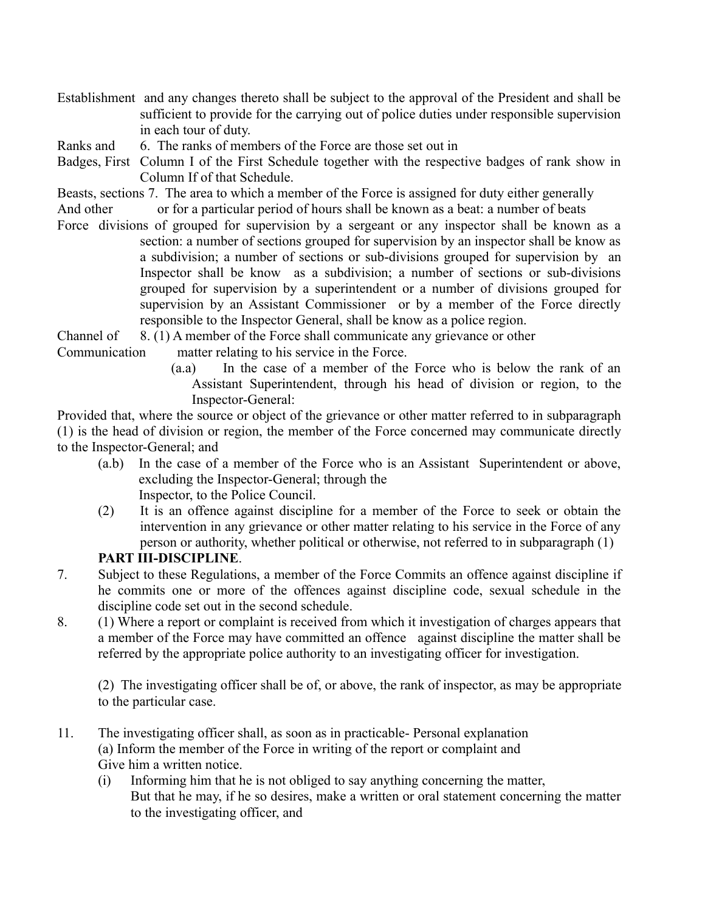- Establishment and any changes thereto shall be subject to the approval of the President and shall be sufficient to provide for the carrying out of police duties under responsible supervision in each tour of duty.
- Ranks and 6. The ranks of members of the Force are those set out in
- Badges, First Column I of the First Schedule together with the respective badges of rank show in Column If of that Schedule.
- Beasts, sections 7. The area to which a member of the Force is assigned for duty either generally
- And other or for a particular period of hours shall be known as a beat: a number of beats
- Force divisions of grouped for supervision by a sergeant or any inspector shall be known as a section: a number of sections grouped for supervision by an inspector shall be know as a subdivision; a number of sections or sub-divisions grouped for supervision by an Inspector shall be know as a subdivision; a number of sections or sub-divisions grouped for supervision by a superintendent or a number of divisions grouped for supervision by an Assistant Commissioner or by a member of the Force directly responsible to the Inspector General, shall be know as a police region.

Channel of 8. (1) A member of the Force shall communicate any grievance or other

- Communication matter relating to his service in the Force.
	- (a.a) In the case of a member of the Force who is below the rank of an Assistant Superintendent, through his head of division or region, to the Inspector-General:

Provided that, where the source or object of the grievance or other matter referred to in subparagraph (1) is the head of division or region, the member of the Force concerned may communicate directly to the Inspector-General; and

- (a.b) In the case of a member of the Force who is an Assistant Superintendent or above, excluding the Inspector-General; through the Inspector, to the Police Council.
- (2) It is an offence against discipline for a member of the Force to seek or obtain the intervention in any grievance or other matter relating to his service in the Force of any person or authority, whether political or otherwise, not referred to in subparagraph (1)

# **PART III-DISCIPLINE**.

- 7. Subject to these Regulations, a member of the Force Commits an offence against discipline if he commits one or more of the offences against discipline code, sexual schedule in the discipline code set out in the second schedule.
- 8. (1) Where a report or complaint is received from which it investigation of charges appears that a member of the Force may have committed an offence against discipline the matter shall be referred by the appropriate police authority to an investigating officer for investigation.

(2) The investigating officer shall be of, or above, the rank of inspector, as may be appropriate to the particular case.

- 11. The investigating officer shall, as soon as in practicable- Personal explanation (a) Inform the member of the Force in writing of the report or complaint and Give him a written notice.
	- (i) Informing him that he is not obliged to say anything concerning the matter, But that he may, if he so desires, make a written or oral statement concerning the matter to the investigating officer, and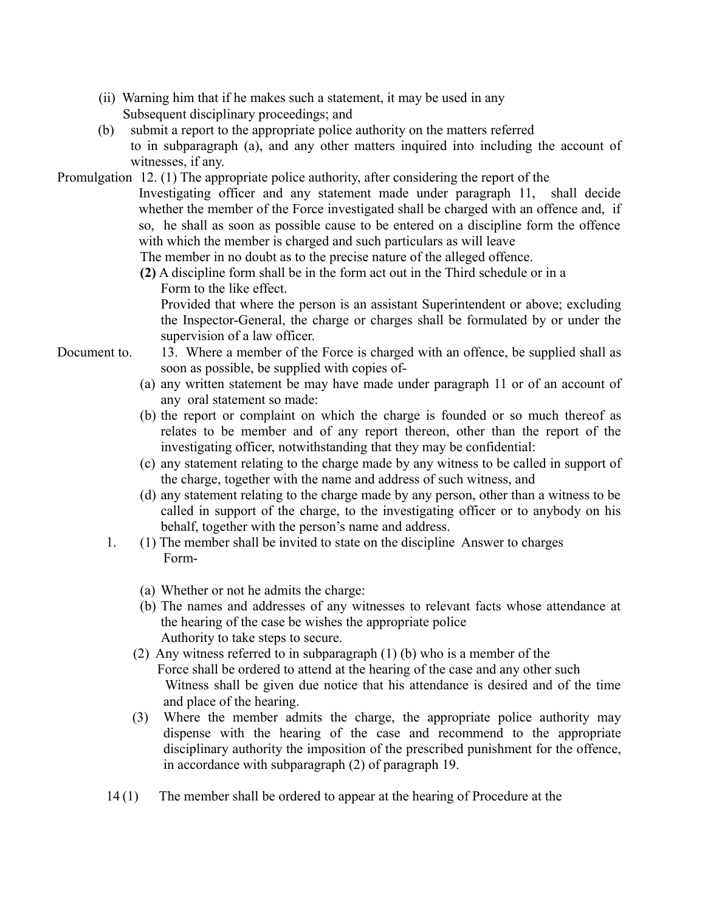- (ii) Warning him that if he makes such a statement, it may be used in any Subsequent disciplinary proceedings; and
- (b) submit a report to the appropriate police authority on the matters referred to in subparagraph (a), and any other matters inquired into including the account of witnesses, if any.
- Promulgation 12. (1) The appropriate police authority, after considering the report of the
	- Investigating officer and any statement made under paragraph 11, shall decide whether the member of the Force investigated shall be charged with an offence and, if so, he shall as soon as possible cause to be entered on a discipline form the offence with which the member is charged and such particulars as will leave

The member in no doubt as to the precise nature of the alleged offence.

**(2)** A discipline form shall be in the form act out in the Third schedule or in a Form to the like effect.

Provided that where the person is an assistant Superintendent or above; excluding the Inspector-General, the charge or charges shall be formulated by or under the supervision of a law officer.

- Document to. 13. Where a member of the Force is charged with an offence, be supplied shall as soon as possible, be supplied with copies of-
	- (a) any written statement be may have made under paragraph 11 or of an account of any oral statement so made:
	- (b) the report or complaint on which the charge is founded or so much thereof as relates to be member and of any report thereon, other than the report of the investigating officer, notwithstanding that they may be confidential:
	- (c) any statement relating to the charge made by any witness to be called in support of the charge, together with the name and address of such witness, and
	- (d) any statement relating to the charge made by any person, other than a witness to be called in support of the charge, to the investigating officer or to anybody on his behalf, together with the person's name and address.
	- 1. (1) The member shall be invited to state on the discipline Answer to charges Form-
		- (a) Whether or not he admits the charge:
		- (b) The names and addresses of any witnesses to relevant facts whose attendance at the hearing of the case be wishes the appropriate police Authority to take steps to secure.
		- (2) Any witness referred to in subparagraph (1) (b) who is a member of the Force shall be ordered to attend at the hearing of the case and any other such Witness shall be given due notice that his attendance is desired and of the time and place of the hearing.
		- (3) Where the member admits the charge, the appropriate police authority may dispense with the hearing of the case and recommend to the appropriate disciplinary authority the imposition of the prescribed punishment for the offence, in accordance with subparagraph (2) of paragraph 19.
	- 14 (1) The member shall be ordered to appear at the hearing of Procedure at the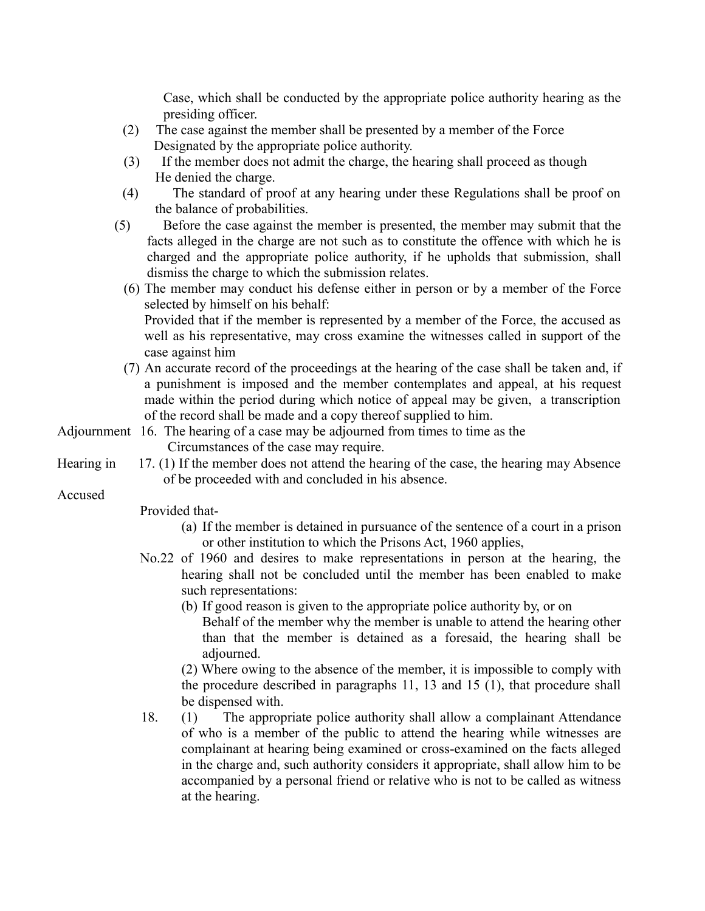Case, which shall be conducted by the appropriate police authority hearing as the presiding officer.

- (2) The case against the member shall be presented by a member of the Force Designated by the appropriate police authority.
- (3) If the member does not admit the charge, the hearing shall proceed as though He denied the charge.
- (4) The standard of proof at any hearing under these Regulations shall be proof on the balance of probabilities.
- (5) Before the case against the member is presented, the member may submit that the facts alleged in the charge are not such as to constitute the offence with which he is charged and the appropriate police authority, if he upholds that submission, shall dismiss the charge to which the submission relates.
	- (6) The member may conduct his defense either in person or by a member of the Force selected by himself on his behalf:

Provided that if the member is represented by a member of the Force, the accused as well as his representative, may cross examine the witnesses called in support of the case against him

- (7) An accurate record of the proceedings at the hearing of the case shall be taken and, if a punishment is imposed and the member contemplates and appeal, at his request made within the period during which notice of appeal may be given, a transcription of the record shall be made and a copy thereof supplied to him.
- Adjournment 16. The hearing of a case may be adjourned from times to time as the Circumstances of the case may require.
- Hearing in 17. (1) If the member does not attend the hearing of the case, the hearing may Absence of be proceeded with and concluded in his absence.

Accused

Provided that-

- (a) If the member is detained in pursuance of the sentence of a court in a prison or other institution to which the Prisons Act, 1960 applies,
- No.22 of 1960 and desires to make representations in person at the hearing, the hearing shall not be concluded until the member has been enabled to make such representations:
	- (b) If good reason is given to the appropriate police authority by, or on

Behalf of the member why the member is unable to attend the hearing other than that the member is detained as a foresaid, the hearing shall be adjourned.

(2) Where owing to the absence of the member, it is impossible to comply with the procedure described in paragraphs 11, 13 and 15 (1), that procedure shall be dispensed with.

18. (1) The appropriate police authority shall allow a complainant Attendance of who is a member of the public to attend the hearing while witnesses are complainant at hearing being examined or cross-examined on the facts alleged in the charge and, such authority considers it appropriate, shall allow him to be accompanied by a personal friend or relative who is not to be called as witness at the hearing.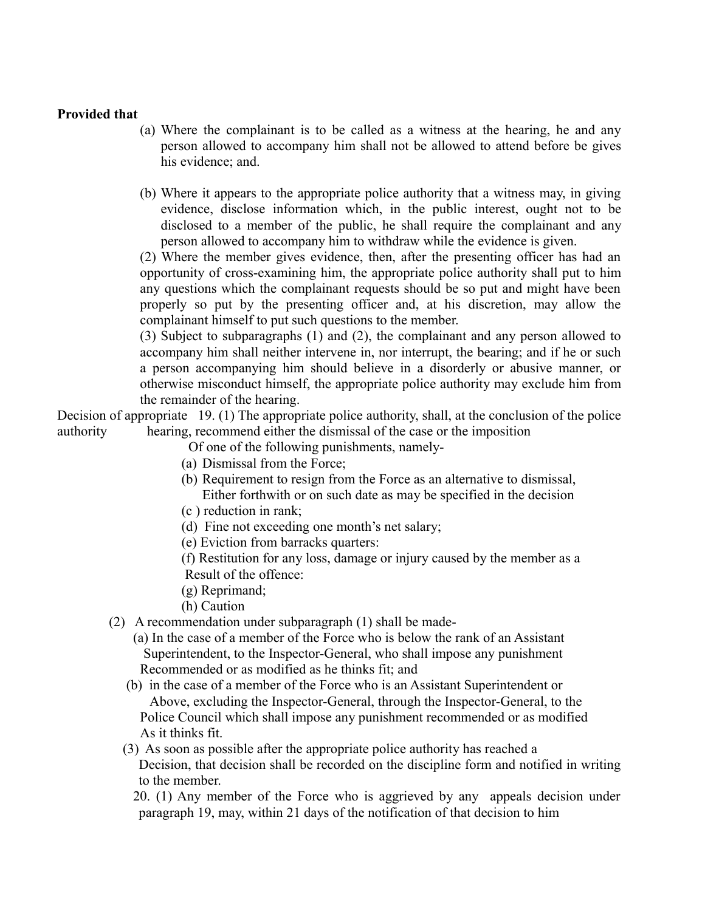#### **Provided that**

- (a) Where the complainant is to be called as a witness at the hearing, he and any person allowed to accompany him shall not be allowed to attend before be gives his evidence; and.
- (b) Where it appears to the appropriate police authority that a witness may, in giving evidence, disclose information which, in the public interest, ought not to be disclosed to a member of the public, he shall require the complainant and any person allowed to accompany him to withdraw while the evidence is given.

(2) Where the member gives evidence, then, after the presenting officer has had an opportunity of cross-examining him, the appropriate police authority shall put to him any questions which the complainant requests should be so put and might have been properly so put by the presenting officer and, at his discretion, may allow the complainant himself to put such questions to the member.

(3) Subject to subparagraphs (1) and (2), the complainant and any person allowed to accompany him shall neither intervene in, nor interrupt, the bearing; and if he or such a person accompanying him should believe in a disorderly or abusive manner, or otherwise misconduct himself, the appropriate police authority may exclude him from the remainder of the hearing.

Decision of appropriate 19. (1) The appropriate police authority, shall, at the conclusion of the police authority hearing, recommend either the dismissal of the case or the imposition

Of one of the following punishments, namely-

- (a) Dismissal from the Force;
- (b) Requirement to resign from the Force as an alternative to dismissal, Either forthwith or on such date as may be specified in the decision
- (c ) reduction in rank;
- (d) Fine not exceeding one month's net salary;
- (e) Eviction from barracks quarters:
- (f) Restitution for any loss, damage or injury caused by the member as a Result of the offence:
- (g) Reprimand;
- (h) Caution
- (2) A recommendation under subparagraph (1) shall be made-
	- (a) In the case of a member of the Force who is below the rank of an Assistant Superintendent, to the Inspector-General, who shall impose any punishment Recommended or as modified as he thinks fit; and
	- (b) in the case of a member of the Force who is an Assistant Superintendent or Above, excluding the Inspector-General, through the Inspector-General, to the Police Council which shall impose any punishment recommended or as modified As it thinks fit.
	- (3) As soon as possible after the appropriate police authority has reached a Decision, that decision shall be recorded on the discipline form and notified in writing to the member.
		- 20. (1) Any member of the Force who is aggrieved by any appeals decision under paragraph 19, may, within 21 days of the notification of that decision to him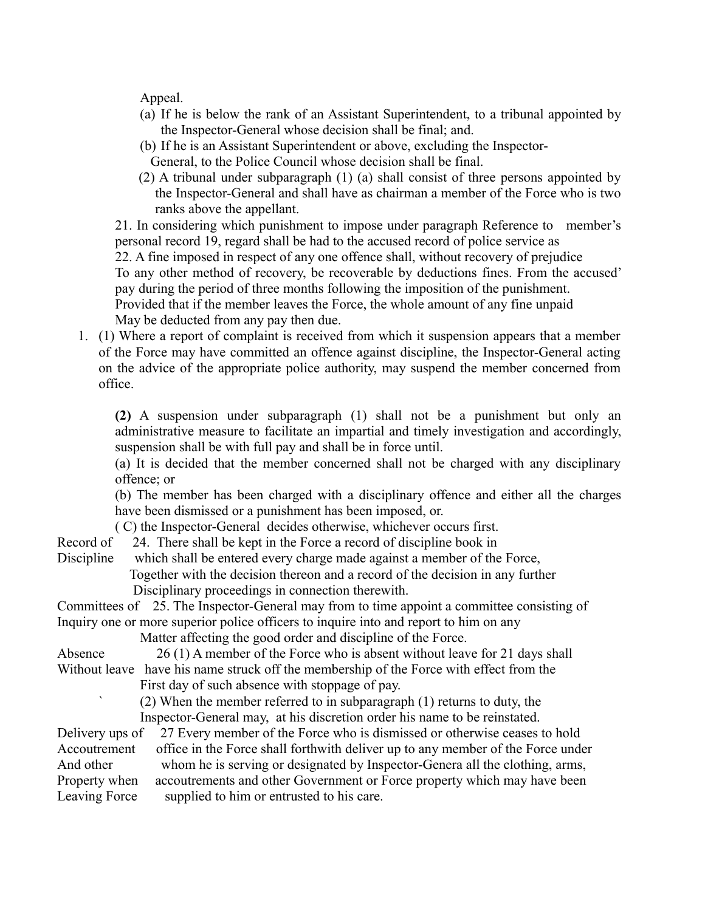Appeal.

- (a) If he is below the rank of an Assistant Superintendent, to a tribunal appointed by the Inspector-General whose decision shall be final; and.
- (b) If he is an Assistant Superintendent or above, excluding the Inspector-
- General, to the Police Council whose decision shall be final.
- (2) A tribunal under subparagraph (1) (a) shall consist of three persons appointed by the Inspector-General and shall have as chairman a member of the Force who is two ranks above the appellant.

21. In considering which punishment to impose under paragraph Reference to member's personal record 19, regard shall be had to the accused record of police service as

22. A fine imposed in respect of any one offence shall, without recovery of prejudice

To any other method of recovery, be recoverable by deductions fines. From the accused' pay during the period of three months following the imposition of the punishment.

Provided that if the member leaves the Force, the whole amount of any fine unpaid May be deducted from any pay then due.

1. (1) Where a report of complaint is received from which it suspension appears that a member of the Force may have committed an offence against discipline, the Inspector-General acting on the advice of the appropriate police authority, may suspend the member concerned from office.

**(2)** A suspension under subparagraph (1) shall not be a punishment but only an administrative measure to facilitate an impartial and timely investigation and accordingly, suspension shall be with full pay and shall be in force until.

(a) It is decided that the member concerned shall not be charged with any disciplinary offence; or

(b) The member has been charged with a disciplinary offence and either all the charges have been dismissed or a punishment has been imposed, or.

( C) the Inspector-General decides otherwise, whichever occurs first.

Record of 24. There shall be kept in the Force a record of discipline book in

Discipline which shall be entered every charge made against a member of the Force,

 Together with the decision thereon and a record of the decision in any further Disciplinary proceedings in connection therewith.

Committees of 25. The Inspector-General may from to time appoint a committee consisting of Inquiry one or more superior police officers to inquire into and report to him on any

Matter affecting the good order and discipline of the Force.

Absence 26 (1) A member of the Force who is absent without leave for 21 days shall Without leave have his name struck off the membership of the Force with effect from the First day of such absence with stoppage of pay.

 $(2)$  When the member referred to in subparagraph  $(1)$  returns to duty, the Inspector-General may, at his discretion order his name to be reinstated.

Delivery ups of 27 Every member of the Force who is dismissed or otherwise ceases to hold Accoutrement office in the Force shall forthwith deliver up to any member of the Force under And other whom he is serving or designated by Inspector-Genera all the clothing, arms, Property when accoutrements and other Government or Force property which may have been Leaving Force supplied to him or entrusted to his care.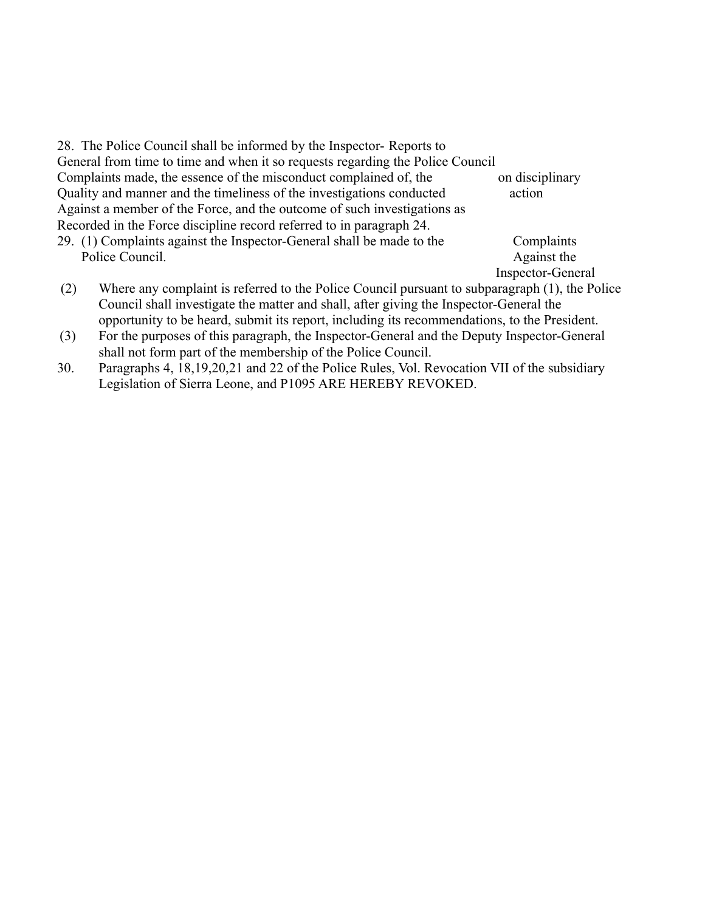| 28. The Police Council shall be informed by the Inspector-Reports to           |                   |
|--------------------------------------------------------------------------------|-------------------|
| General from time to time and when it so requests regarding the Police Council |                   |
| Complaints made, the essence of the misconduct complained of, the              | on disciplinary   |
| Quality and manner and the timeliness of the investigations conducted          | action            |
| Against a member of the Force, and the outcome of such investigations as       |                   |
| Recorded in the Force discipline record referred to in paragraph 24.           |                   |
| 29. (1) Complaints against the Inspector-General shall be made to the          | Complaints        |
| Police Council.                                                                | Against the       |
|                                                                                | Inspector-General |

- (2) Where any complaint is referred to the Police Council pursuant to subparagraph (1), the Police Council shall investigate the matter and shall, after giving the Inspector-General the opportunity to be heard, submit its report, including its recommendations, to the President.
- (3) For the purposes of this paragraph, the Inspector-General and the Deputy Inspector-General shall not form part of the membership of the Police Council.
- 30. Paragraphs 4, 18,19,20,21 and 22 of the Police Rules, Vol. Revocation VII of the subsidiary Legislation of Sierra Leone, and P1095 ARE HEREBY REVOKED.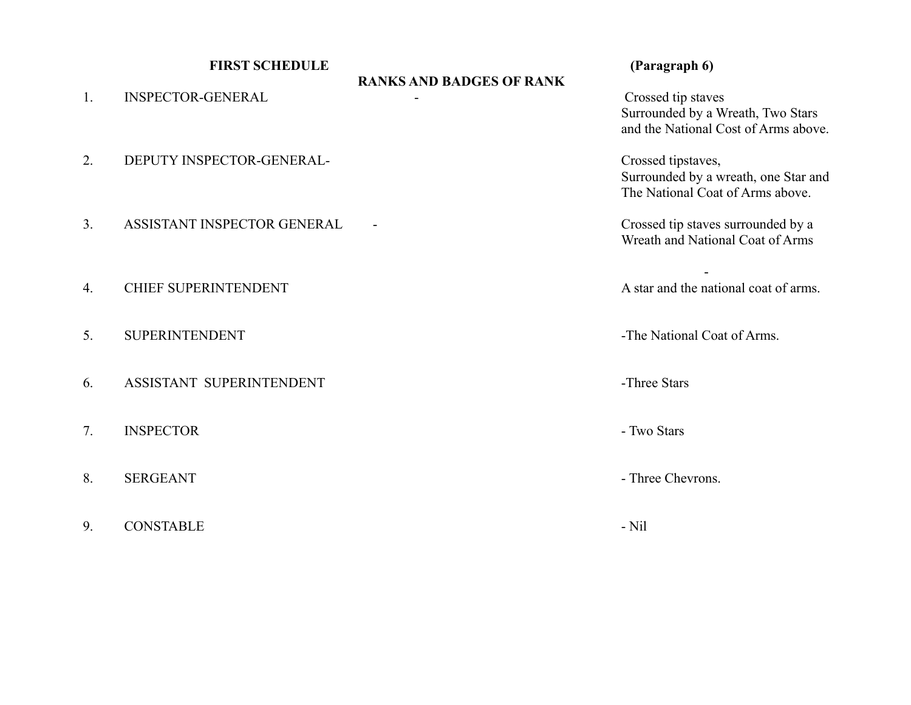|    | <b>FIRST SCHEDULE</b>       |                                                                                                                                    | (Paragraph 6)                                                                                  |
|----|-----------------------------|------------------------------------------------------------------------------------------------------------------------------------|------------------------------------------------------------------------------------------------|
| 1. | <b>INSPECTOR-GENERAL</b>    | <b>RANKS AND BADGES OF RANK</b><br>Crossed tip staves<br>Surrounded by a Wreath, Two Stars<br>and the National Cost of Arms above. |                                                                                                |
| 2. | DEPUTY INSPECTOR-GENERAL-   |                                                                                                                                    | Crossed tipstaves,<br>Surrounded by a wreath, one Star and<br>The National Coat of Arms above. |
| 3. | ASSISTANT INSPECTOR GENERAL |                                                                                                                                    | Crossed tip staves surrounded by a<br>Wreath and National Coat of Arms                         |
| 4. | <b>CHIEF SUPERINTENDENT</b> |                                                                                                                                    | A star and the national coat of arms.                                                          |
| 5. | <b>SUPERINTENDENT</b>       |                                                                                                                                    | -The National Coat of Arms.                                                                    |
| 6. | ASSISTANT SUPERINTENDENT    |                                                                                                                                    | -Three Stars                                                                                   |
| 7. | <b>INSPECTOR</b>            |                                                                                                                                    | - Two Stars                                                                                    |
| 8. | <b>SERGEANT</b>             |                                                                                                                                    | - Three Chevrons.                                                                              |
| 9. | <b>CONSTABLE</b>            |                                                                                                                                    | - Nil                                                                                          |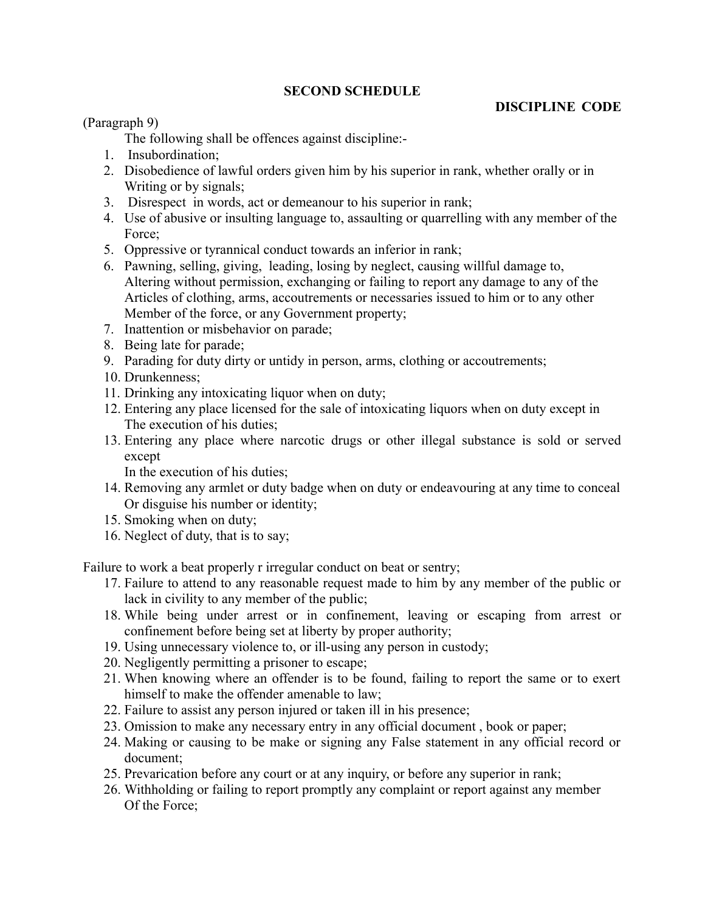# **SECOND SCHEDULE**

# **DISCIPLINE CODE**

(Paragraph 9)

The following shall be offences against discipline:-

- 1. Insubordination;
- 2. Disobedience of lawful orders given him by his superior in rank, whether orally or in Writing or by signals;
- 3. Disrespect in words, act or demeanour to his superior in rank;
- 4. Use of abusive or insulting language to, assaulting or quarrelling with any member of the Force:
- 5. Oppressive or tyrannical conduct towards an inferior in rank;
- 6. Pawning, selling, giving, leading, losing by neglect, causing willful damage to, Altering without permission, exchanging or failing to report any damage to any of the Articles of clothing, arms, accoutrements or necessaries issued to him or to any other Member of the force, or any Government property;
- 7. Inattention or misbehavior on parade;
- 8. Being late for parade;
- 9. Parading for duty dirty or untidy in person, arms, clothing or accoutrements;
- 10. Drunkenness;
- 11. Drinking any intoxicating liquor when on duty;
- 12. Entering any place licensed for the sale of intoxicating liquors when on duty except in The execution of his duties;
- 13. Entering any place where narcotic drugs or other illegal substance is sold or served except

In the execution of his duties;

- 14. Removing any armlet or duty badge when on duty or endeavouring at any time to conceal Or disguise his number or identity;
- 15. Smoking when on duty;
- 16. Neglect of duty, that is to say;

Failure to work a beat properly r irregular conduct on beat or sentry;

- 17. Failure to attend to any reasonable request made to him by any member of the public or lack in civility to any member of the public;
- 18. While being under arrest or in confinement, leaving or escaping from arrest or confinement before being set at liberty by proper authority;
- 19. Using unnecessary violence to, or ill-using any person in custody;
- 20. Negligently permitting a prisoner to escape;
- 21. When knowing where an offender is to be found, failing to report the same or to exert himself to make the offender amenable to law;
- 22. Failure to assist any person injured or taken ill in his presence;
- 23. Omission to make any necessary entry in any official document , book or paper;
- 24. Making or causing to be make or signing any False statement in any official record or document;
- 25. Prevarication before any court or at any inquiry, or before any superior in rank;
- 26. Withholding or failing to report promptly any complaint or report against any member Of the Force;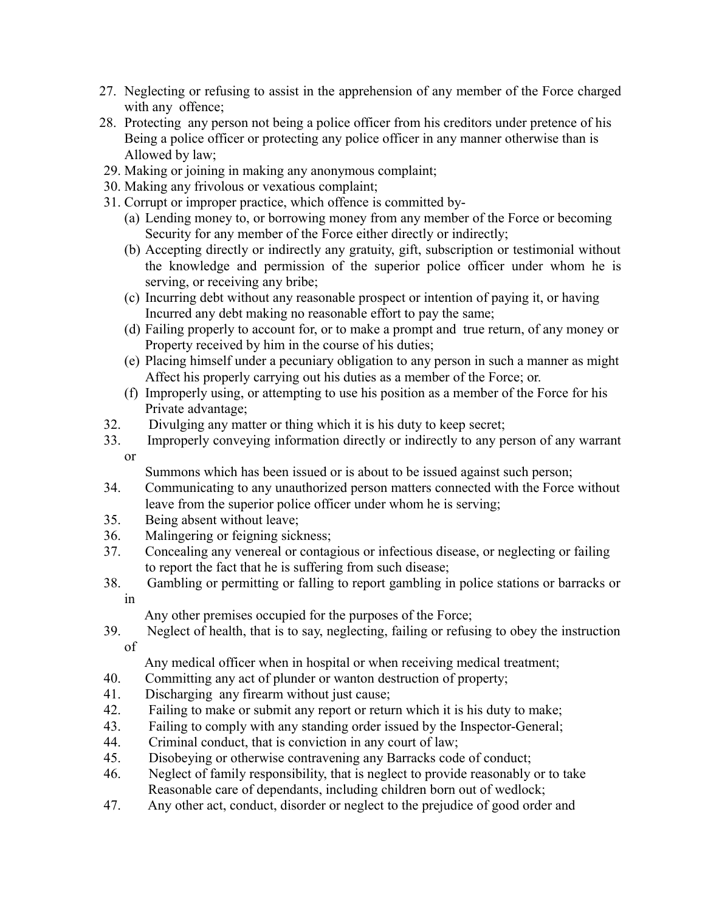- 27. Neglecting or refusing to assist in the apprehension of any member of the Force charged with any offence;
- 28. Protecting any person not being a police officer from his creditors under pretence of his Being a police officer or protecting any police officer in any manner otherwise than is Allowed by law;
- 29. Making or joining in making any anonymous complaint;
- 30. Making any frivolous or vexatious complaint;
- 31. Corrupt or improper practice, which offence is committed by-
	- (a) Lending money to, or borrowing money from any member of the Force or becoming Security for any member of the Force either directly or indirectly;
	- (b) Accepting directly or indirectly any gratuity, gift, subscription or testimonial without the knowledge and permission of the superior police officer under whom he is serving, or receiving any bribe;
	- (c) Incurring debt without any reasonable prospect or intention of paying it, or having Incurred any debt making no reasonable effort to pay the same;
	- (d) Failing properly to account for, or to make a prompt and true return, of any money or Property received by him in the course of his duties;
	- (e) Placing himself under a pecuniary obligation to any person in such a manner as might Affect his properly carrying out his duties as a member of the Force; or.
	- (f) Improperly using, or attempting to use his position as a member of the Force for his Private advantage;
- 32. Divulging any matter or thing which it is his duty to keep secret;
- 33. Improperly conveying information directly or indirectly to any person of any warrant or
	- Summons which has been issued or is about to be issued against such person;
- 34. Communicating to any unauthorized person matters connected with the Force without leave from the superior police officer under whom he is serving;
- 35. Being absent without leave;
- 36. Malingering or feigning sickness;
- 37. Concealing any venereal or contagious or infectious disease, or neglecting or failing to report the fact that he is suffering from such disease;
- 38. Gambling or permitting or falling to report gambling in police stations or barracks or in

Any other premises occupied for the purposes of the Force;

39. Neglect of health, that is to say, neglecting, failing or refusing to obey the instruction of

Any medical officer when in hospital or when receiving medical treatment;

- 40. Committing any act of plunder or wanton destruction of property;
- 41. Discharging any firearm without just cause;
- 42. Failing to make or submit any report or return which it is his duty to make;
- 43. Failing to comply with any standing order issued by the Inspector-General;
- 44. Criminal conduct, that is conviction in any court of law;
- 45. Disobeying or otherwise contravening any Barracks code of conduct;
- 46. Neglect of family responsibility, that is neglect to provide reasonably or to take Reasonable care of dependants, including children born out of wedlock;
- 47. Any other act, conduct, disorder or neglect to the prejudice of good order and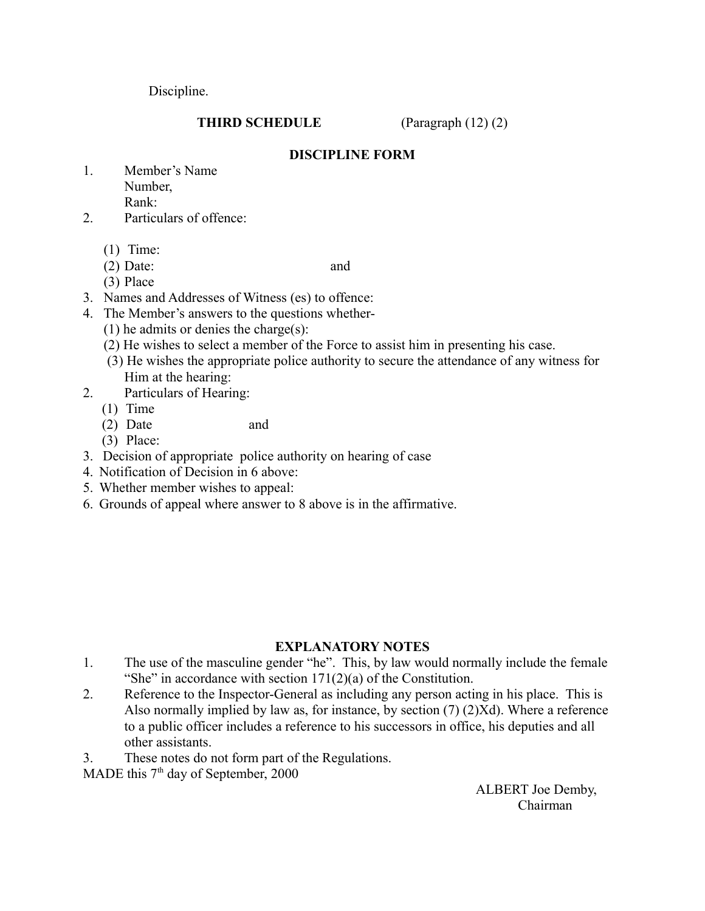Discipline.

# **THIRD SCHEDULE** (Paragraph (12) (2)

### **DISCIPLINE FORM**

- 1. Member's Name Number, Rank:
- 2. Particulars of offence:
	- (1) Time:
	- (2) Date: and

- (3) Place
- 3. Names and Addresses of Witness (es) to offence:
- 4. The Member's answers to the questions whether-
	- (1) he admits or denies the charge(s):
	- (2) He wishes to select a member of the Force to assist him in presenting his case.
	- (3) He wishes the appropriate police authority to secure the attendance of any witness for Him at the hearing:
- 2. Particulars of Hearing:
	- (1) Time
	- (2) Date and
	- (3) Place:
- 3. Decision of appropriate police authority on hearing of case
- 4. Notification of Decision in 6 above:
- 5. Whether member wishes to appeal:
- 6. Grounds of appeal where answer to 8 above is in the affirmative.

# **EXPLANATORY NOTES**

- 1. The use of the masculine gender "he". This, by law would normally include the female "She" in accordance with section  $171(2)(a)$  of the Constitution.
- 2. Reference to the Inspector-General as including any person acting in his place. This is Also normally implied by law as, for instance, by section (7) (2)Xd). Where a reference to a public officer includes a reference to his successors in office, his deputies and all other assistants.
- 3. These notes do not form part of the Regulations.

MADE this  $7<sup>th</sup>$  day of September, 2000

 ALBERT Joe Demby, **Chairman**